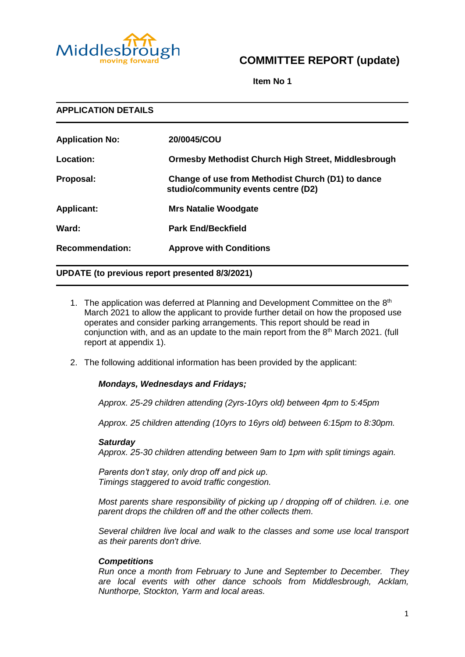

# **COMMITTEE REPORT (update)**

**Item No 1**

| <b>APPLICATION DETAILS</b> |                                                                                          |
|----------------------------|------------------------------------------------------------------------------------------|
| <b>Application No:</b>     | 20/0045/COU                                                                              |
| Location:                  | <b>Ormesby Methodist Church High Street, Middlesbrough</b>                               |
| Proposal:                  | Change of use from Methodist Church (D1) to dance<br>studio/community events centre (D2) |
| <b>Applicant:</b>          | <b>Mrs Natalie Woodgate</b>                                                              |
| Ward:                      | <b>Park End/Beckfield</b>                                                                |
| <b>Recommendation:</b>     | <b>Approve with Conditions</b>                                                           |

# **UPDATE (to previous report presented 8/3/2021)**

- 1. The application was deferred at Planning and Development Committee on the 8<sup>th</sup> March 2021 to allow the applicant to provide further detail on how the proposed use operates and consider parking arrangements. This report should be read in conjunction with, and as an update to the main report from the 8th March 2021. (full report at appendix 1).
- 2. The following additional information has been provided by the applicant:

# *Mondays, Wednesdays and Fridays;*

*Approx. 25-29 children attending (2yrs-10yrs old) between 4pm to 5:45pm*

*Approx. 25 children attending (10yrs to 16yrs old) between 6:15pm to 8:30pm.*

### *Saturday*

*Approx. 25-30 children attending between 9am to 1pm with split timings again.* 

*Parents don't stay, only drop off and pick up. Timings staggered to avoid traffic congestion.*

*Most parents share responsibility of picking up / dropping off of children. i.e. one parent drops the children off and the other collects them.*

*Several children live local and walk to the classes and some use local transport as their parents don't drive.*

### *Competitions*

*Run once a month from February to June and September to December. They are local events with other dance schools from Middlesbrough, Acklam, Nunthorpe, Stockton, Yarm and local areas.*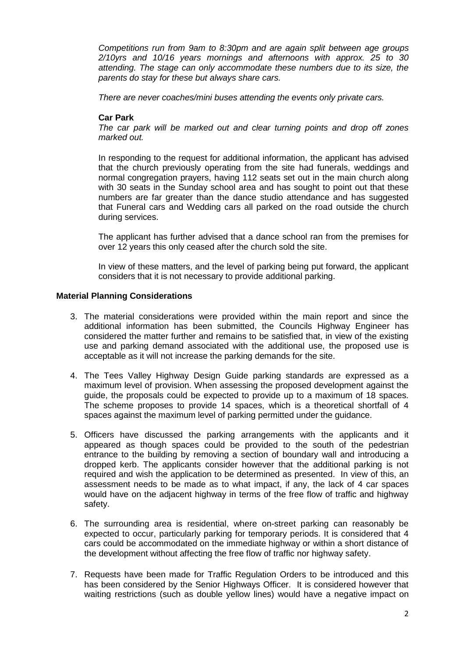*Competitions run from 9am to 8:30pm and are again split between age groups 2/10yrs and 10/16 years mornings and afternoons with approx. 25 to 30 attending. The stage can only accommodate these numbers due to its size, the parents do stay for these but always share cars.*

*There are never coaches/mini buses attending the events only private cars.*

# **Car Park**

*The car park will be marked out and clear turning points and drop off zones marked out.*

In responding to the request for additional information, the applicant has advised that the church previously operating from the site had funerals, weddings and normal congregation prayers, having 112 seats set out in the main church along with 30 seats in the Sunday school area and has sought to point out that these numbers are far greater than the dance studio attendance and has suggested that Funeral cars and Wedding cars all parked on the road outside the church during services.

The applicant has further advised that a dance school ran from the premises for over 12 years this only ceased after the church sold the site.

In view of these matters, and the level of parking being put forward, the applicant considers that it is not necessary to provide additional parking.

# **Material Planning Considerations**

- 3. The material considerations were provided within the main report and since the additional information has been submitted, the Councils Highway Engineer has considered the matter further and remains to be satisfied that, in view of the existing use and parking demand associated with the additional use, the proposed use is acceptable as it will not increase the parking demands for the site.
- 4. The Tees Valley Highway Design Guide parking standards are expressed as a maximum level of provision. When assessing the proposed development against the guide, the proposals could be expected to provide up to a maximum of 18 spaces. The scheme proposes to provide 14 spaces, which is a theoretical shortfall of 4 spaces against the maximum level of parking permitted under the guidance.
- 5. Officers have discussed the parking arrangements with the applicants and it appeared as though spaces could be provided to the south of the pedestrian entrance to the building by removing a section of boundary wall and introducing a dropped kerb. The applicants consider however that the additional parking is not required and wish the application to be determined as presented. In view of this, an assessment needs to be made as to what impact, if any, the lack of 4 car spaces would have on the adjacent highway in terms of the free flow of traffic and highway safety.
- 6. The surrounding area is residential, where on-street parking can reasonably be expected to occur, particularly parking for temporary periods. It is considered that 4 cars could be accommodated on the immediate highway or within a short distance of the development without affecting the free flow of traffic nor highway safety.
- 7. Requests have been made for Traffic Regulation Orders to be introduced and this has been considered by the Senior Highways Officer. It is considered however that waiting restrictions (such as double yellow lines) would have a negative impact on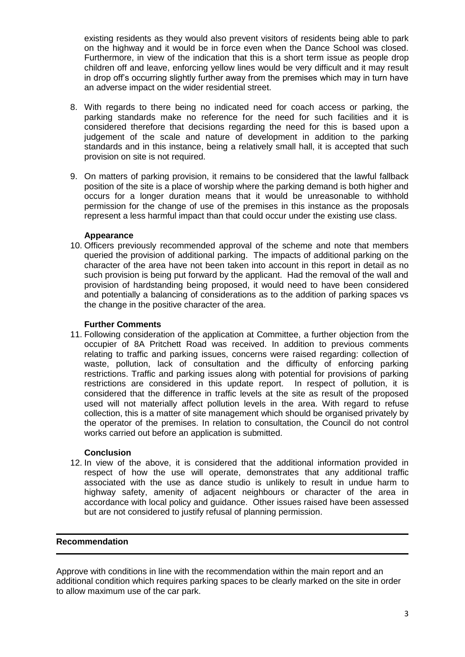existing residents as they would also prevent visitors of residents being able to park on the highway and it would be in force even when the Dance School was closed. Furthermore, in view of the indication that this is a short term issue as people drop children off and leave, enforcing yellow lines would be very difficult and it may result in drop off's occurring slightly further away from the premises which may in turn have an adverse impact on the wider residential street.

- 8. With regards to there being no indicated need for coach access or parking, the parking standards make no reference for the need for such facilities and it is considered therefore that decisions regarding the need for this is based upon a judgement of the scale and nature of development in addition to the parking standards and in this instance, being a relatively small hall, it is accepted that such provision on site is not required.
- 9. On matters of parking provision, it remains to be considered that the lawful fallback position of the site is a place of worship where the parking demand is both higher and occurs for a longer duration means that it would be unreasonable to withhold permission for the change of use of the premises in this instance as the proposals represent a less harmful impact than that could occur under the existing use class.

# **Appearance**

10. Officers previously recommended approval of the scheme and note that members queried the provision of additional parking. The impacts of additional parking on the character of the area have not been taken into account in this report in detail as no such provision is being put forward by the applicant. Had the removal of the wall and provision of hardstanding being proposed, it would need to have been considered and potentially a balancing of considerations as to the addition of parking spaces vs the change in the positive character of the area.

# **Further Comments**

11. Following consideration of the application at Committee, a further objection from the occupier of 8A Pritchett Road was received. In addition to previous comments relating to traffic and parking issues, concerns were raised regarding: collection of waste, pollution, lack of consultation and the difficulty of enforcing parking restrictions. Traffic and parking issues along with potential for provisions of parking restrictions are considered in this update report. In respect of pollution, it is considered that the difference in traffic levels at the site as result of the proposed used will not materially affect pollution levels in the area. With regard to refuse collection, this is a matter of site management which should be organised privately by the operator of the premises. In relation to consultation, the Council do not control works carried out before an application is submitted.

### **Conclusion**

12. In view of the above, it is considered that the additional information provided in respect of how the use will operate, demonstrates that any additional traffic associated with the use as dance studio is unlikely to result in undue harm to highway safety, amenity of adjacent neighbours or character of the area in accordance with local policy and guidance. Other issues raised have been assessed but are not considered to justify refusal of planning permission.

## **Recommendation**

Approve with conditions in line with the recommendation within the main report and an additional condition which requires parking spaces to be clearly marked on the site in order to allow maximum use of the car park.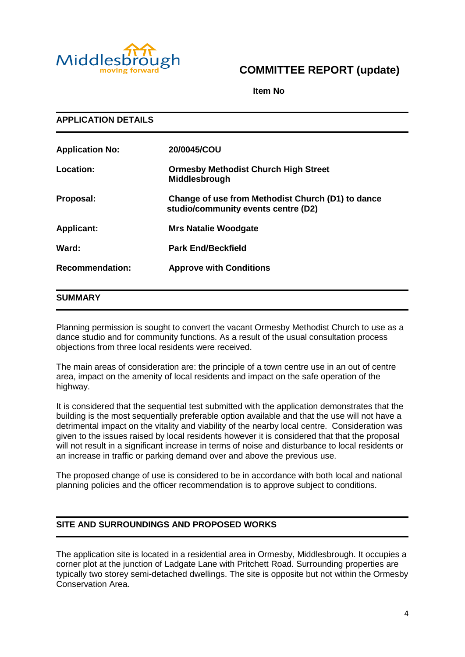

# **COMMITTEE REPORT (update)**

**Item No** 

**APPLICATION DETAILS Application No: 20/0045/COU Location: Ormesby Methodist Church High Street Middlesbrough Proposal: Change of use from Methodist Church (D1) to dance studio/community events centre (D2) Applicant: Mrs Natalie Woodgate Ward: Park End/Beckfield Recommendation: Approve with Conditions**

# **SUMMARY**

Planning permission is sought to convert the vacant Ormesby Methodist Church to use as a dance studio and for community functions. As a result of the usual consultation process objections from three local residents were received.

The main areas of consideration are: the principle of a town centre use in an out of centre area, impact on the amenity of local residents and impact on the safe operation of the highway.

It is considered that the sequential test submitted with the application demonstrates that the building is the most sequentially preferable option available and that the use will not have a detrimental impact on the vitality and viability of the nearby local centre. Consideration was given to the issues raised by local residents however it is considered that that the proposal will not result in a significant increase in terms of noise and disturbance to local residents or an increase in traffic or parking demand over and above the previous use.

The proposed change of use is considered to be in accordance with both local and national planning policies and the officer recommendation is to approve subject to conditions.

# **SITE AND SURROUNDINGS AND PROPOSED WORKS**

The application site is located in a residential area in Ormesby, Middlesbrough. It occupies a corner plot at the junction of Ladgate Lane with Pritchett Road. Surrounding properties are typically two storey semi-detached dwellings. The site is opposite but not within the Ormesby Conservation Area.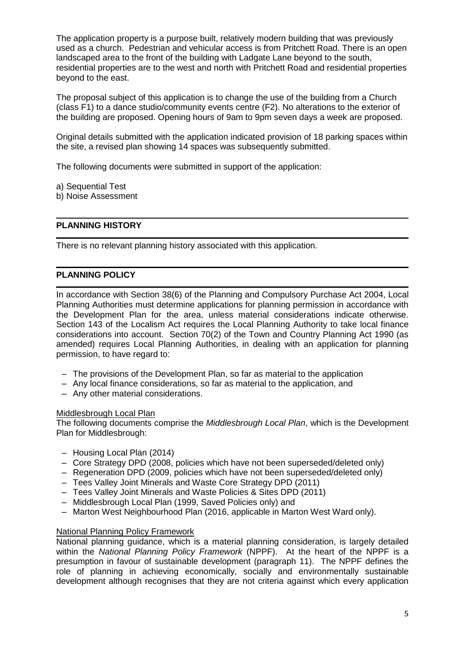The application property is a purpose built, relatively modern building that was previously used as a church. Pedestrian and vehicular access is from Pritchett Road. There is an open landscaped area to the front of the building with Ladgate Lane beyond to the south, residential properties are to the west and north with Pritchett Road and residential properties beyond to the east.

The proposal subject of this application is to change the use of the building from a Church (class F1) to a dance studio/community events centre (F2). No alterations to the exterior of the building are proposed. Opening hours of 9am to 9pm seven days a week are proposed.

Original details submitted with the application indicated provision of 18 parking spaces within the site, a revised plan showing 14 spaces was subsequently submitted.

The following documents were submitted in support of the application:

a) Sequential Test

b) Noise Assessment

# **PLANNING HISTORY**

There is no relevant planning history associated with this application.

# **PLANNING POLICY**

In accordance with Section 38(6) of the Planning and Compulsory Purchase Act 2004, Local Planning Authorities must determine applications for planning permission in accordance with the Development Plan for the area, unless material considerations indicate otherwise. Section 143 of the Localism Act requires the Local Planning Authority to take local finance considerations into account. Section 70(2) of the Town and Country Planning Act 1990 (as amended) requires Local Planning Authorities, in dealing with an application for planning permission, to have regard to:

- The provisions of the Development Plan, so far as material to the application
- Any local finance considerations, so far as material to the application, and
- Any other material considerations.

### Middlesbrough Local Plan

The following documents comprise the *Middlesbrough Local Plan*, which is the Development Plan for Middlesbrough:

- Housing Local Plan (2014)
- Core Strategy DPD (2008, policies which have not been superseded/deleted only)
- Regeneration DPD (2009, policies which have not been superseded/deleted only)
- Tees Valley Joint Minerals and Waste Core Strategy DPD (2011)
- Tees Valley Joint Minerals and Waste Policies & Sites DPD (2011)
- Middlesbrough Local Plan (1999, Saved Policies only) and
- Marton West Neighbourhood Plan (2016, applicable in Marton West Ward only).

# National Planning Policy Framework

National planning guidance, which is a material planning consideration, is largely detailed within the *National Planning Policy Framework* (NPPF). At the heart of the NPPF is a presumption in favour of sustainable development (paragraph 11). The NPPF defines the role of planning in achieving economically, socially and environmentally sustainable development although recognises that they are not criteria against which every application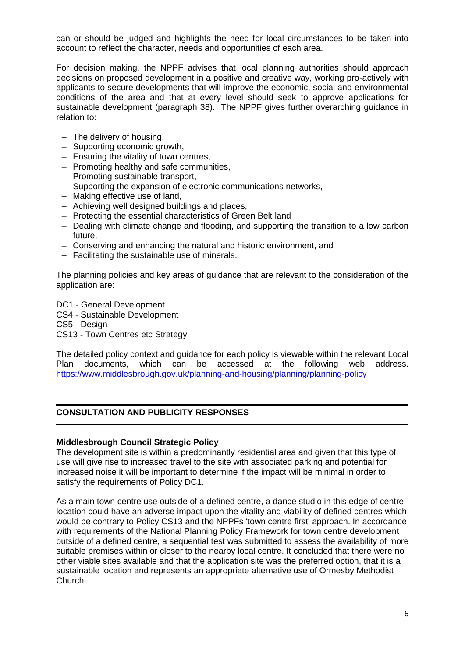can or should be judged and highlights the need for local circumstances to be taken into account to reflect the character, needs and opportunities of each area.

For decision making, the NPPF advises that local planning authorities should approach decisions on proposed development in a positive and creative way, working pro-actively with applicants to secure developments that will improve the economic, social and environmental conditions of the area and that at every level should seek to approve applications for sustainable development (paragraph 38). The NPPF gives further overarching guidance in relation to:

- The delivery of housing,
- Supporting economic growth,
- Ensuring the vitality of town centres,
- Promoting healthy and safe communities,
- Promoting sustainable transport,
- Supporting the expansion of electronic communications networks,
- Making effective use of land,
- Achieving well designed buildings and places,
- Protecting the essential characteristics of Green Belt land
- Dealing with climate change and flooding, and supporting the transition to a low carbon future,
- Conserving and enhancing the natural and historic environment, and
- Facilitating the sustainable use of minerals.

The planning policies and key areas of guidance that are relevant to the consideration of the application are:

DC1 - General Development

CS4 - Sustainable Development

CS5 - Design

CS13 - Town Centres etc Strategy

The detailed policy context and guidance for each policy is viewable within the relevant Local Plan documents, which can be accessed at the following web address. <https://www.middlesbrough.gov.uk/planning-and-housing/planning/planning-policy>

# **CONSULTATION AND PUBLICITY RESPONSES**

### **Middlesbrough Council Strategic Policy**

The development site is within a predominantly residential area and given that this type of use will give rise to increased travel to the site with associated parking and potential for increased noise it will be important to determine if the impact will be minimal in order to satisfy the requirements of Policy DC1.

As a main town centre use outside of a defined centre, a dance studio in this edge of centre location could have an adverse impact upon the vitality and viability of defined centres which would be contrary to Policy CS13 and the NPPFs 'town centre first' approach. In accordance with requirements of the National Planning Policy Framework for town centre development outside of a defined centre, a sequential test was submitted to assess the availability of more suitable premises within or closer to the nearby local centre. It concluded that there were no other viable sites available and that the application site was the preferred option, that it is a sustainable location and represents an appropriate alternative use of Ormesby Methodist Church.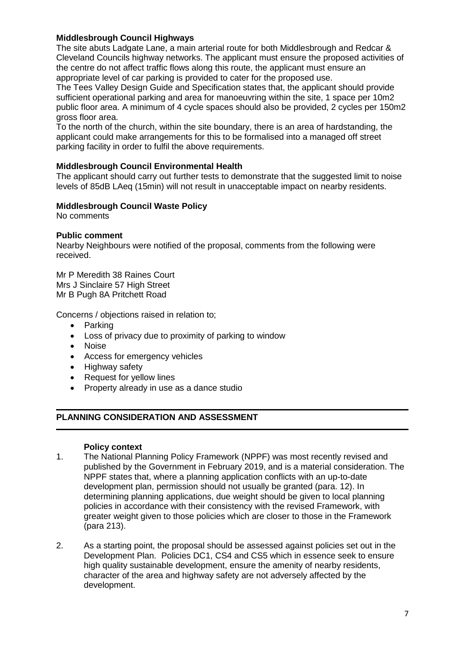# **Middlesbrough Council Highways**

The site abuts Ladgate Lane, a main arterial route for both Middlesbrough and Redcar & Cleveland Councils highway networks. The applicant must ensure the proposed activities of the centre do not affect traffic flows along this route, the applicant must ensure an appropriate level of car parking is provided to cater for the proposed use.

The Tees Valley Design Guide and Specification states that, the applicant should provide sufficient operational parking and area for manoeuvring within the site, 1 space per 10m2 public floor area. A minimum of 4 cycle spaces should also be provided, 2 cycles per 150m2 gross floor area.

To the north of the church, within the site boundary, there is an area of hardstanding, the applicant could make arrangements for this to be formalised into a managed off street parking facility in order to fulfil the above requirements.

# **Middlesbrough Council Environmental Health**

The applicant should carry out further tests to demonstrate that the suggested limit to noise levels of 85dB LAeq (15min) will not result in unacceptable impact on nearby residents.

# **Middlesbrough Council Waste Policy**

No comments

# **Public comment**

Nearby Neighbours were notified of the proposal, comments from the following were received.

Mr P Meredith 38 Raines Court Mrs J Sinclaire 57 High Street Mr B Pugh 8A Pritchett Road

Concerns / objections raised in relation to;

- Parking
- Loss of privacy due to proximity of parking to window
- Noise
- Access for emergency vehicles
- Highway safety
- Request for yellow lines
- Property already in use as a dance studio

# **PLANNING CONSIDERATION AND ASSESSMENT**

### **Policy context**

- 1. The National Planning Policy Framework (NPPF) was most recently revised and published by the Government in February 2019, and is a material consideration. The NPPF states that, where a planning application conflicts with an up-to-date development plan, permission should not usually be granted (para. 12). In determining planning applications, due weight should be given to local planning policies in accordance with their consistency with the revised Framework, with greater weight given to those policies which are closer to those in the Framework (para 213).
- 2. As a starting point, the proposal should be assessed against policies set out in the Development Plan. Policies DC1, CS4 and CS5 which in essence seek to ensure high quality sustainable development, ensure the amenity of nearby residents, character of the area and highway safety are not adversely affected by the development.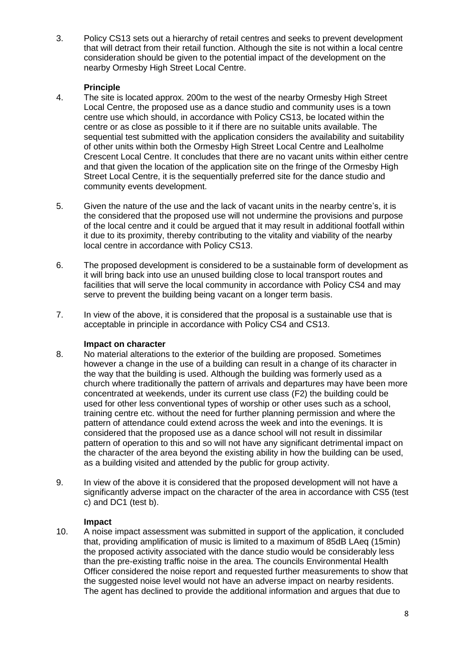3. Policy CS13 sets out a hierarchy of retail centres and seeks to prevent development that will detract from their retail function. Although the site is not within a local centre consideration should be given to the potential impact of the development on the nearby Ormesby High Street Local Centre.

# **Principle**

- 4. The site is located approx. 200m to the west of the nearby Ormesby High Street Local Centre, the proposed use as a dance studio and community uses is a town centre use which should, in accordance with Policy CS13, be located within the centre or as close as possible to it if there are no suitable units available. The sequential test submitted with the application considers the availability and suitability of other units within both the Ormesby High Street Local Centre and Lealholme Crescent Local Centre. It concludes that there are no vacant units within either centre and that given the location of the application site on the fringe of the Ormesby High Street Local Centre, it is the sequentially preferred site for the dance studio and community events development.
- 5. Given the nature of the use and the lack of vacant units in the nearby centre's, it is the considered that the proposed use will not undermine the provisions and purpose of the local centre and it could be argued that it may result in additional footfall within it due to its proximity, thereby contributing to the vitality and viability of the nearby local centre in accordance with Policy CS13.
- 6. The proposed development is considered to be a sustainable form of development as it will bring back into use an unused building close to local transport routes and facilities that will serve the local community in accordance with Policy CS4 and may serve to prevent the building being vacant on a longer term basis.
- 7. In view of the above, it is considered that the proposal is a sustainable use that is acceptable in principle in accordance with Policy CS4 and CS13.

# **Impact on character**

- 8. No material alterations to the exterior of the building are proposed. Sometimes however a change in the use of a building can result in a change of its character in the way that the building is used. Although the building was formerly used as a church where traditionally the pattern of arrivals and departures may have been more concentrated at weekends, under its current use class (F2) the building could be used for other less conventional types of worship or other uses such as a school, training centre etc. without the need for further planning permission and where the pattern of attendance could extend across the week and into the evenings. It is considered that the proposed use as a dance school will not result in dissimilar pattern of operation to this and so will not have any significant detrimental impact on the character of the area beyond the existing ability in how the building can be used, as a building visited and attended by the public for group activity.
- 9. In view of the above it is considered that the proposed development will not have a significantly adverse impact on the character of the area in accordance with CS5 (test c) and DC1 (test b).

# **Impact**

10. A noise impact assessment was submitted in support of the application, it concluded that, providing amplification of music is limited to a maximum of 85dB LAeq (15min) the proposed activity associated with the dance studio would be considerably less than the pre-existing traffic noise in the area. The councils Environmental Health Officer considered the noise report and requested further measurements to show that the suggested noise level would not have an adverse impact on nearby residents. The agent has declined to provide the additional information and argues that due to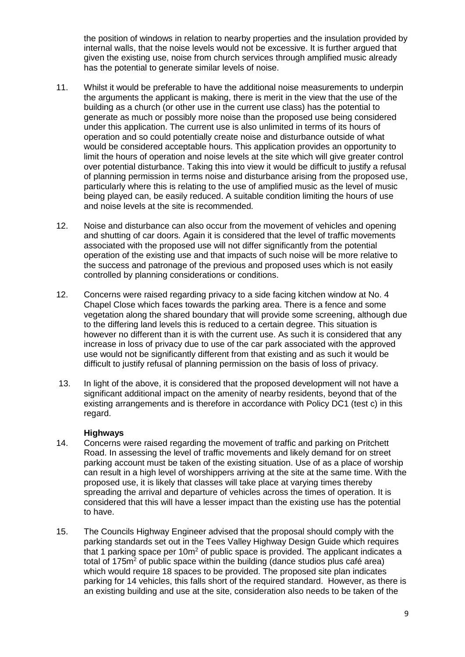the position of windows in relation to nearby properties and the insulation provided by internal walls, that the noise levels would not be excessive. It is further argued that given the existing use, noise from church services through amplified music already has the potential to generate similar levels of noise.

- 11. Whilst it would be preferable to have the additional noise measurements to underpin the arguments the applicant is making, there is merit in the view that the use of the building as a church (or other use in the current use class) has the potential to generate as much or possibly more noise than the proposed use being considered under this application. The current use is also unlimited in terms of its hours of operation and so could potentially create noise and disturbance outside of what would be considered acceptable hours. This application provides an opportunity to limit the hours of operation and noise levels at the site which will give greater control over potential disturbance. Taking this into view it would be difficult to justify a refusal of planning permission in terms noise and disturbance arising from the proposed use, particularly where this is relating to the use of amplified music as the level of music being played can, be easily reduced. A suitable condition limiting the hours of use and noise levels at the site is recommended.
- 12. Noise and disturbance can also occur from the movement of vehicles and opening and shutting of car doors. Again it is considered that the level of traffic movements associated with the proposed use will not differ significantly from the potential operation of the existing use and that impacts of such noise will be more relative to the success and patronage of the previous and proposed uses which is not easily controlled by planning considerations or conditions.
- 12. Concerns were raised regarding privacy to a side facing kitchen window at No. 4 Chapel Close which faces towards the parking area. There is a fence and some vegetation along the shared boundary that will provide some screening, although due to the differing land levels this is reduced to a certain degree. This situation is however no different than it is with the current use. As such it is considered that any increase in loss of privacy due to use of the car park associated with the approved use would not be significantly different from that existing and as such it would be difficult to justify refusal of planning permission on the basis of loss of privacy.
- 13. In light of the above, it is considered that the proposed development will not have a significant additional impact on the amenity of nearby residents, beyond that of the existing arrangements and is therefore in accordance with Policy DC1 (test c) in this regard.

# **Highways**

- 14. Concerns were raised regarding the movement of traffic and parking on Pritchett Road. In assessing the level of traffic movements and likely demand for on street parking account must be taken of the existing situation. Use of as a place of worship can result in a high level of worshippers arriving at the site at the same time. With the proposed use, it is likely that classes will take place at varying times thereby spreading the arrival and departure of vehicles across the times of operation. It is considered that this will have a lesser impact than the existing use has the potential to have.
- 15. The Councils Highway Engineer advised that the proposal should comply with the parking standards set out in the Tees Valley Highway Design Guide which requires that 1 parking space per 10m<sup>2</sup> of public space is provided. The applicant indicates a total of 175 $m<sup>2</sup>$  of public space within the building (dance studios plus café area) which would require 18 spaces to be provided. The proposed site plan indicates parking for 14 vehicles, this falls short of the required standard. However, as there is an existing building and use at the site, consideration also needs to be taken of the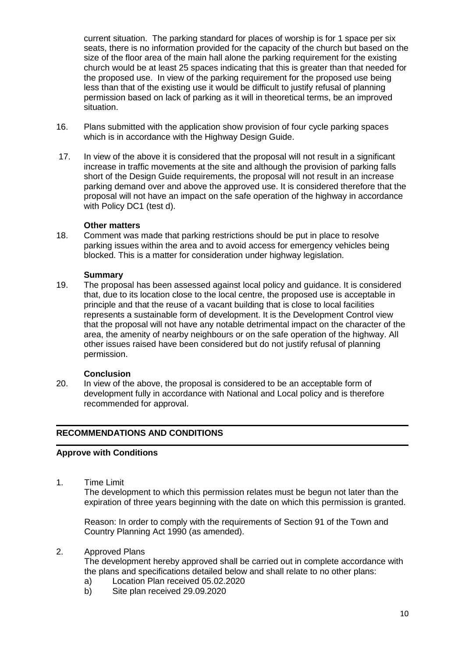current situation. The parking standard for places of worship is for 1 space per six seats, there is no information provided for the capacity of the church but based on the size of the floor area of the main hall alone the parking requirement for the existing church would be at least 25 spaces indicating that this is greater than that needed for the proposed use. In view of the parking requirement for the proposed use being less than that of the existing use it would be difficult to justify refusal of planning permission based on lack of parking as it will in theoretical terms, be an improved situation.

- 16. Plans submitted with the application show provision of four cycle parking spaces which is in accordance with the Highway Design Guide.
- 17. In view of the above it is considered that the proposal will not result in a significant increase in traffic movements at the site and although the provision of parking falls short of the Design Guide requirements, the proposal will not result in an increase parking demand over and above the approved use. It is considered therefore that the proposal will not have an impact on the safe operation of the highway in accordance with Policy DC1 (test d).

# **Other matters**

18. Comment was made that parking restrictions should be put in place to resolve parking issues within the area and to avoid access for emergency vehicles being blocked. This is a matter for consideration under highway legislation.

# **Summary**

19. The proposal has been assessed against local policy and guidance. It is considered that, due to its location close to the local centre, the proposed use is acceptable in principle and that the reuse of a vacant building that is close to local facilities represents a sustainable form of development. It is the Development Control view that the proposal will not have any notable detrimental impact on the character of the area, the amenity of nearby neighbours or on the safe operation of the highway. All other issues raised have been considered but do not justify refusal of planning permission.

### **Conclusion**

20. In view of the above, the proposal is considered to be an acceptable form of development fully in accordance with National and Local policy and is therefore recommended for approval.

# **RECOMMENDATIONS AND CONDITIONS**

# **Approve with Conditions**

1. Time Limit

The development to which this permission relates must be begun not later than the expiration of three years beginning with the date on which this permission is granted.

Reason: In order to comply with the requirements of Section 91 of the Town and Country Planning Act 1990 (as amended).

# 2. Approved Plans

The development hereby approved shall be carried out in complete accordance with the plans and specifications detailed below and shall relate to no other plans:

- a) Location Plan received 05.02.2020
- b) Site plan received 29.09.2020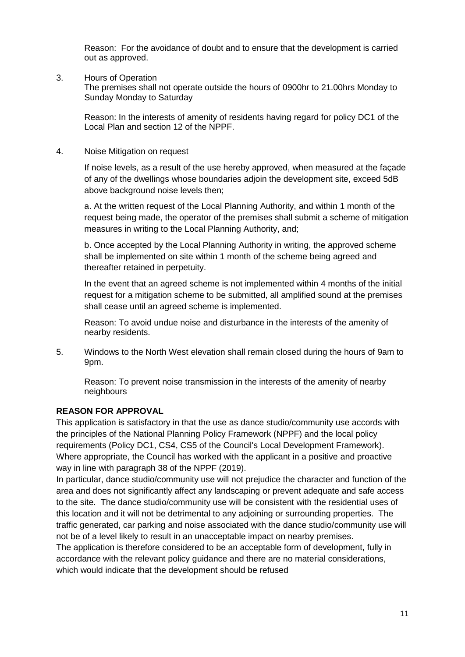Reason: For the avoidance of doubt and to ensure that the development is carried out as approved.

3. Hours of Operation

The premises shall not operate outside the hours of 0900hr to 21.00hrs Monday to Sunday Monday to Saturday

Reason: In the interests of amenity of residents having regard for policy DC1 of the Local Plan and section 12 of the NPPF.

4. Noise Mitigation on request

If noise levels, as a result of the use hereby approved, when measured at the façade of any of the dwellings whose boundaries adjoin the development site, exceed 5dB above background noise levels then;

a. At the written request of the Local Planning Authority, and within 1 month of the request being made, the operator of the premises shall submit a scheme of mitigation measures in writing to the Local Planning Authority, and;

b. Once accepted by the Local Planning Authority in writing, the approved scheme shall be implemented on site within 1 month of the scheme being agreed and thereafter retained in perpetuity.

In the event that an agreed scheme is not implemented within 4 months of the initial request for a mitigation scheme to be submitted, all amplified sound at the premises shall cease until an agreed scheme is implemented.

Reason: To avoid undue noise and disturbance in the interests of the amenity of nearby residents.

5. Windows to the North West elevation shall remain closed during the hours of 9am to 9pm.

Reason: To prevent noise transmission in the interests of the amenity of nearby neighbours

# **REASON FOR APPROVAL**

This application is satisfactory in that the use as dance studio/community use accords with the principles of the National Planning Policy Framework (NPPF) and the local policy requirements (Policy DC1, CS4, CS5 of the Council's Local Development Framework). Where appropriate, the Council has worked with the applicant in a positive and proactive way in line with paragraph 38 of the NPPF (2019).

In particular, dance studio/community use will not prejudice the character and function of the area and does not significantly affect any landscaping or prevent adequate and safe access to the site. The dance studio/community use will be consistent with the residential uses of this location and it will not be detrimental to any adjoining or surrounding properties. The traffic generated, car parking and noise associated with the dance studio/community use will not be of a level likely to result in an unacceptable impact on nearby premises.

The application is therefore considered to be an acceptable form of development, fully in accordance with the relevant policy guidance and there are no material considerations, which would indicate that the development should be refused